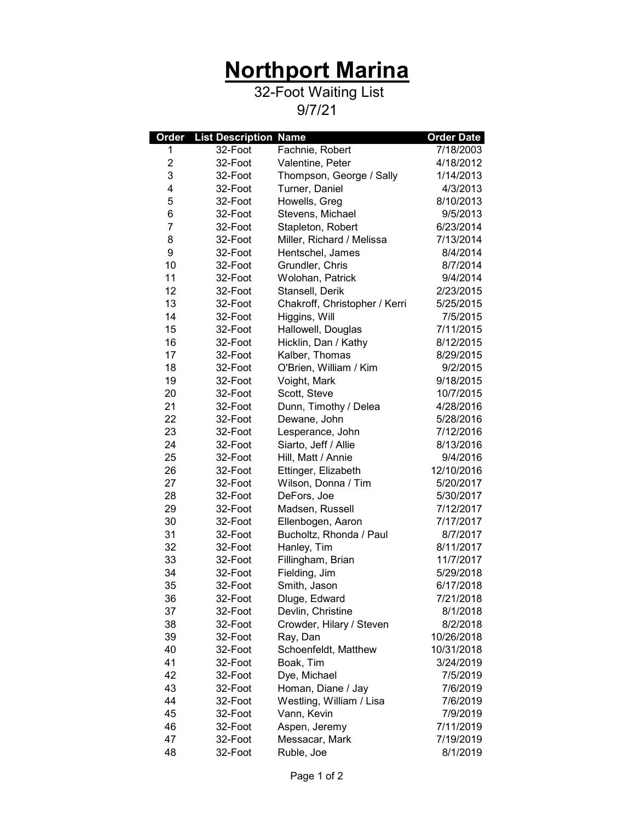## **Northport Marina**

## 32-Foot Waiting List

9/7/21

| Order          | <b>List Description Name</b> |                               | <b>Order Date</b> |
|----------------|------------------------------|-------------------------------|-------------------|
| 1              | 32-Foot                      | Fachnie, Robert               | 7/18/2003         |
| $\overline{c}$ | 32-Foot                      | Valentine, Peter              | 4/18/2012         |
| 3              | 32-Foot                      | Thompson, George / Sally      | 1/14/2013         |
| 4              | 32-Foot                      | Turner, Daniel                | 4/3/2013          |
| 5              | 32-Foot                      | Howells, Greg                 | 8/10/2013         |
| 6              | 32-Foot                      | Stevens, Michael              | 9/5/2013          |
| 7              | 32-Foot                      | Stapleton, Robert             | 6/23/2014         |
| 8              | 32-Foot                      | Miller, Richard / Melissa     | 7/13/2014         |
| 9              | 32-Foot                      | Hentschel, James              | 8/4/2014          |
| 10             | 32-Foot                      | Grundler, Chris               | 8/7/2014          |
| 11             | 32-Foot                      | Wolohan, Patrick              | 9/4/2014          |
| 12             | 32-Foot                      | Stansell, Derik               | 2/23/2015         |
| 13             | 32-Foot                      | Chakroff, Christopher / Kerri | 5/25/2015         |
| 14             | 32-Foot                      | Higgins, Will                 | 7/5/2015          |
| 15             | 32-Foot                      | Hallowell, Douglas            | 7/11/2015         |
| 16             | 32-Foot                      | Hicklin, Dan / Kathy          | 8/12/2015         |
| 17             | 32-Foot                      | Kalber, Thomas                | 8/29/2015         |
| 18             | 32-Foot                      | O'Brien, William / Kim        | 9/2/2015          |
| 19             | 32-Foot                      | Voight, Mark                  | 9/18/2015         |
| 20             | 32-Foot                      | Scott, Steve                  | 10/7/2015         |
| 21             | 32-Foot                      | Dunn, Timothy / Delea         | 4/28/2016         |
| 22             | 32-Foot                      | Dewane, John                  | 5/28/2016         |
| 23             | 32-Foot                      | Lesperance, John              | 7/12/2016         |
| 24             | 32-Foot                      | Siarto, Jeff / Allie          | 8/13/2016         |
| 25             | 32-Foot                      | Hill, Matt / Annie            | 9/4/2016          |
| 26             | 32-Foot                      | Ettinger, Elizabeth           | 12/10/2016        |
| 27             | 32-Foot                      | Wilson, Donna / Tim           | 5/20/2017         |
| 28             | 32-Foot                      | DeFors, Joe                   | 5/30/2017         |
| 29             | 32-Foot                      | Madsen, Russell               | 7/12/2017         |
| 30             | 32-Foot                      | Ellenbogen, Aaron             | 7/17/2017         |
| 31             | 32-Foot                      | Bucholtz, Rhonda / Paul       | 8/7/2017          |
| 32             | 32-Foot                      | Hanley, Tim                   | 8/11/2017         |
| 33             | 32-Foot                      | Fillingham, Brian             | 11/7/2017         |
| 34             | 32-Foot                      | Fielding, Jim                 | 5/29/2018         |
| 35             | 32-Foot                      | Smith, Jason                  | 6/17/2018         |
| 36             | 32-Foot                      | Dluge, Edward                 | 7/21/2018         |
| 37             | 32-Foot                      | Devlin, Christine             | 8/1/2018          |
| 38             | 32-Foot                      | Crowder, Hilary / Steven      | 8/2/2018          |
| 39             | 32-Foot                      | Ray, Dan                      | 10/26/2018        |
| 40             | 32-Foot                      | Schoenfeldt, Matthew          | 10/31/2018        |
| 41             | 32-Foot                      | Boak, Tim                     | 3/24/2019         |
| 42             | 32-Foot                      | Dye, Michael                  | 7/5/2019          |
| 43             | 32-Foot                      | Homan, Diane / Jay            | 7/6/2019          |
| 44             | 32-Foot                      | Westling, William / Lisa      | 7/6/2019          |
| 45             | 32-Foot                      | Vann, Kevin                   | 7/9/2019          |
| 46             | 32-Foot                      | Aspen, Jeremy                 | 7/11/2019         |
| 47             | 32-Foot                      | Messacar, Mark                | 7/19/2019         |
| 48             | 32-Foot                      | Ruble, Joe                    | 8/1/2019          |